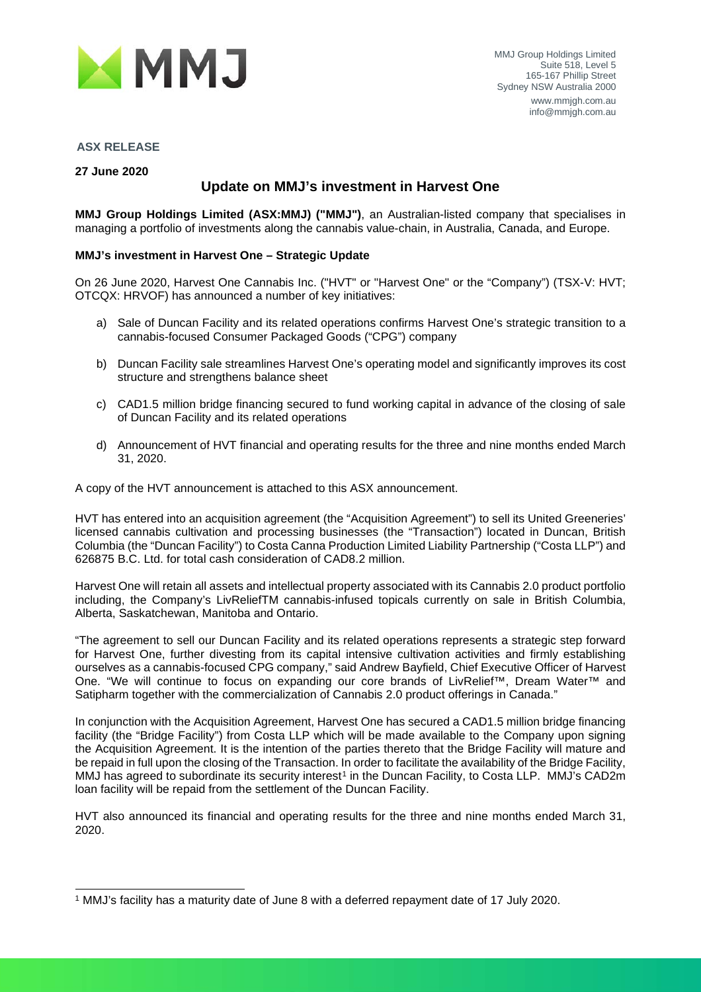

#### **ASX RELEASE**

**27 June 2020**

## **Update on MMJ's investment in Harvest One**

**MMJ Group Holdings Limited (ASX:MMJ) ("MMJ")**, an Australian-listed company that specialises in managing a portfolio of investments along the cannabis value-chain, in Australia, Canada, and Europe.

#### **MMJ's investment in Harvest One – Strategic Update**

On 26 June 2020, Harvest One Cannabis Inc. ("HVT" or "Harvest One" or the "Company") (TSX-V: HVT; OTCQX: HRVOF) has announced a number of key initiatives:

- a) Sale of Duncan Facility and its related operations confirms Harvest One's strategic transition to a cannabis-focused Consumer Packaged Goods ("CPG") company
- b) Duncan Facility sale streamlines Harvest One's operating model and significantly improves its cost structure and strengthens balance sheet
- c) CAD1.5 million bridge financing secured to fund working capital in advance of the closing of sale of Duncan Facility and its related operations
- d) Announcement of HVT financial and operating results for the three and nine months ended March 31, 2020.

A copy of the HVT announcement is attached to this ASX announcement.

HVT has entered into an acquisition agreement (the "Acquisition Agreement") to sell its United Greeneries' licensed cannabis cultivation and processing businesses (the "Transaction") located in Duncan, British Columbia (the "Duncan Facility") to Costa Canna Production Limited Liability Partnership ("Costa LLP") and 626875 B.C. Ltd. for total cash consideration of CAD8.2 million.

Harvest One will retain all assets and intellectual property associated with its Cannabis 2.0 product portfolio including, the Company's LivReliefTM cannabis-infused topicals currently on sale in British Columbia, Alberta, Saskatchewan, Manitoba and Ontario.

"The agreement to sell our Duncan Facility and its related operations represents a strategic step forward for Harvest One, further divesting from its capital intensive cultivation activities and firmly establishing ourselves as a cannabis-focused CPG company," said Andrew Bayfield, Chief Executive Officer of Harvest One. "We will continue to focus on expanding our core brands of LivRelief™, Dream Water™ and Satipharm together with the commercialization of Cannabis 2.0 product offerings in Canada."

In conjunction with the Acquisition Agreement, Harvest One has secured a CAD1.5 million bridge financing facility (the "Bridge Facility") from Costa LLP which will be made available to the Company upon signing the Acquisition Agreement. It is the intention of the parties thereto that the Bridge Facility will mature and be repaid in full upon the closing of the Transaction. In order to facilitate the availability of the Bridge Facility, MMJ has agreed to subordinate its security interest<sup>[1](#page-0-0)</sup> in the Duncan Facility, to Costa LLP. MMJ's CAD2m loan facility will be repaid from the settlement of the Duncan Facility.

HVT also announced its financial and operating results for the three and nine months ended March 31, 2020.

<span id="page-0-0"></span><sup>1</sup> MMJ's facility has a maturity date of June 8 with a deferred repayment date of 17 July 2020.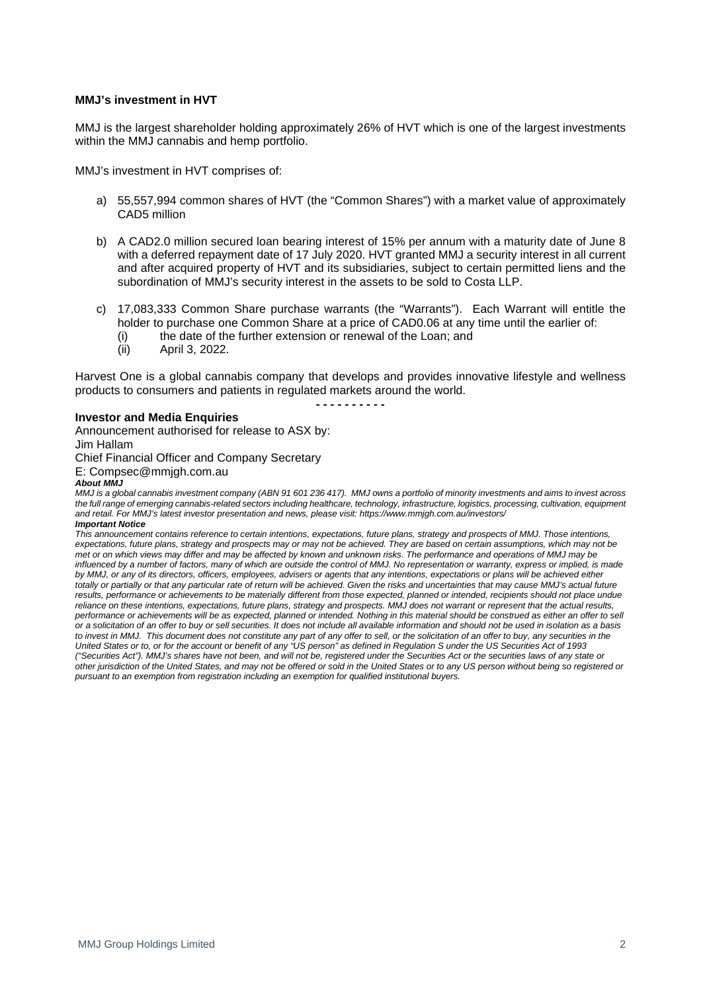#### **MMJ's investment in HVT**

MMJ is the largest shareholder holding approximately 26% of HVT which is one of the largest investments within the MMJ cannabis and hemp portfolio.

MMJ's investment in HVT comprises of:

- a) 55,557,994 common shares of HVT (the "Common Shares") with a market value of approximately CAD5 million
- b) A CAD2.0 million secured loan bearing interest of 15% per annum with a maturity date of June 8 with a deferred repayment date of 17 July 2020. HVT granted MMJ a security interest in all current and after acquired property of HVT and its subsidiaries, subject to certain permitted liens and the subordination of MMJ's security interest in the assets to be sold to Costa LLP.
- c) 17,083,333 Common Share purchase warrants (the "Warrants"). Each Warrant will entitle the holder to purchase one Common Share at a price of CAD0.06 at any time until the earlier of:
	- (i) the date of the further extension or renewal of the Loan; and  $(ii)$  April 3, 2022.
	- April 3, 2022.

Harvest One is a global cannabis company that develops and provides innovative lifestyle and wellness products to consumers and patients in regulated markets around the world.

*- - - - - - - - - -*

#### **Investor and Media Enquiries**

Announcement authorised for release to ASX by: Jim Hallam

Chief Financial Officer and Company Secretary

E: Compsec@mmjgh.com.au

#### *About MMJ*

*MMJ is a global cannabis investment company (ABN 91 601 236 417). MMJ owns a portfolio of minority investments and aims to invest across the full range of emerging cannabis-related sectors including healthcare, technology, infrastructure, logistics, processing, cultivation, equipment and retail. For MMJ's latest investor presentation and news, please visit: https://www.mmjgh.com.au/investors/ Important Notice*

*This announcement contains reference to certain intentions, expectations, future plans, strategy and prospects of MMJ. Those intentions, expectations, future plans, strategy and prospects may or may not be achieved. They are based on certain assumptions, which may not be met or on which views may differ and may be affected by known and unknown risks. The performance and operations of MMJ may be*  influenced by a number of factors, many of which are outside the control of MMJ. No representation or warranty, express or implied, is made by MMJ, or any of its directors, officers, employees, advisers or agents that any intentions, expectations or plans will be achieved either totally or partially or that any particular rate of return will be achieved. Given the risks and uncertainties that may cause MMJ's actual future results, performance or achievements to be materially different from those expected, planned or intended, recipients should not place undue *reliance on these intentions, expectations, future plans, strategy and prospects. MMJ does not warrant or represent that the actual results,*  performance or achievements will be as expected, planned or intended. Nothing in this material should be construed as either an offer to sell *or a solicitation of an offer to buy or sell securities. It does not include all available information and should not be used in isolation as a basis*  to invest in MMJ. This document does not constitute any part of any offer to sell, or the solicitation of an offer to buy, any securities in the *United States or to, or for the account or benefit of any "US person" as defined in Regulation S under the US Securities Act of 1993 ("Securities Act"). MMJ's shares have not been, and will not be, registered under the Securities Act or the securities laws of any state or other jurisdiction of the United States, and may not be offered or sold in the United States or to any US person without being so registered or pursuant to an exemption from registration including an exemption for qualified institutional buyers.*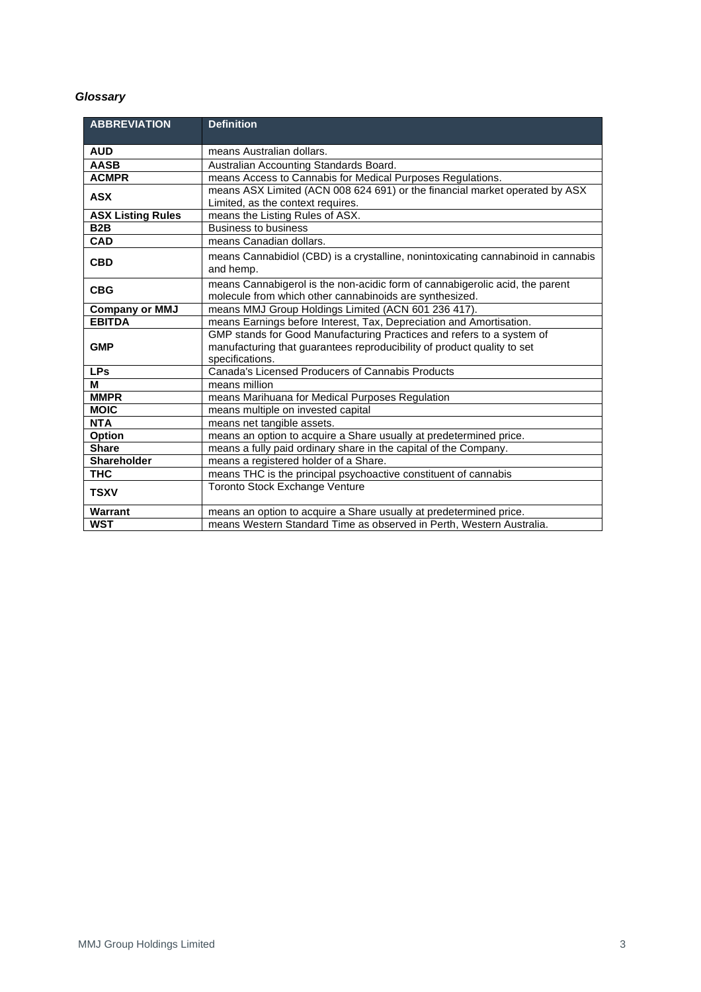#### *Glossary*

| <b>ABBREVIATION</b>      | <b>Definition</b>                                                                              |  |  |  |
|--------------------------|------------------------------------------------------------------------------------------------|--|--|--|
| <b>AUD</b>               | means Australian dollars.                                                                      |  |  |  |
| <b>AASB</b>              |                                                                                                |  |  |  |
|                          | Australian Accounting Standards Board.                                                         |  |  |  |
| <b>ACMPR</b>             | means Access to Cannabis for Medical Purposes Regulations.                                     |  |  |  |
| <b>ASX</b>               | means ASX Limited (ACN 008 624 691) or the financial market operated by ASX                    |  |  |  |
|                          | Limited, as the context requires.                                                              |  |  |  |
| <b>ASX Listing Rules</b> | means the Listing Rules of ASX.                                                                |  |  |  |
| B <sub>2</sub> B         | <b>Business to business</b>                                                                    |  |  |  |
| <b>CAD</b>               | means Canadian dollars.                                                                        |  |  |  |
| <b>CBD</b>               | means Cannabidiol (CBD) is a crystalline, nonintoxicating cannabinoid in cannabis<br>and hemp. |  |  |  |
| <b>CBG</b>               | means Cannabigerol is the non-acidic form of cannabigerolic acid, the parent                   |  |  |  |
|                          | molecule from which other cannabinoids are synthesized.                                        |  |  |  |
| <b>Company or MMJ</b>    | means MMJ Group Holdings Limited (ACN 601 236 417).                                            |  |  |  |
| <b>EBITDA</b>            | means Earnings before Interest, Tax, Depreciation and Amortisation.                            |  |  |  |
| <b>GMP</b>               | GMP stands for Good Manufacturing Practices and refers to a system of                          |  |  |  |
|                          | manufacturing that guarantees reproducibility of product quality to set                        |  |  |  |
|                          | specifications.                                                                                |  |  |  |
| <b>LPs</b>               | Canada's Licensed Producers of Cannabis Products                                               |  |  |  |
| М                        | means million                                                                                  |  |  |  |
| <b>MMPR</b>              | means Marihuana for Medical Purposes Regulation                                                |  |  |  |
| <b>MOIC</b>              | means multiple on invested capital                                                             |  |  |  |
| <b>NTA</b>               | means net tangible assets.                                                                     |  |  |  |
| Option                   | means an option to acquire a Share usually at predetermined price.                             |  |  |  |
| <b>Share</b>             | means a fully paid ordinary share in the capital of the Company.                               |  |  |  |
| <b>Shareholder</b>       | means a registered holder of a Share.                                                          |  |  |  |
| <b>THC</b>               | means THC is the principal psychoactive constituent of cannabis                                |  |  |  |
| <b>TSXV</b>              | <b>Toronto Stock Exchange Venture</b>                                                          |  |  |  |
| Warrant                  | means an option to acquire a Share usually at predetermined price.                             |  |  |  |
| <b>WST</b>               | means Western Standard Time as observed in Perth, Western Australia.                           |  |  |  |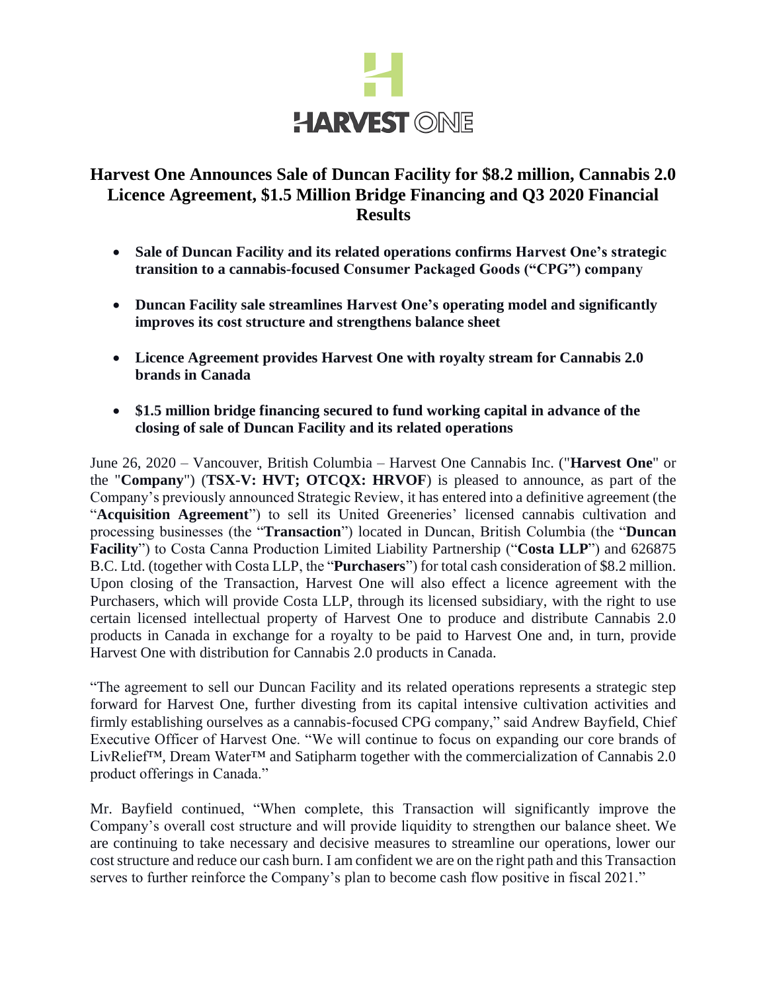

# **Harvest One Announces Sale of Duncan Facility for \$8.2 million, Cannabis 2.0 Licence Agreement, \$1.5 Million Bridge Financing and Q3 2020 Financial Results**

- **Sale of Duncan Facility and its related operations confirms Harvest One's strategic transition to a cannabis-focused Consumer Packaged Goods ("CPG") company**
- **Duncan Facility sale streamlines Harvest One's operating model and significantly improves its cost structure and strengthens balance sheet**
- **Licence Agreement provides Harvest One with royalty stream for Cannabis 2.0 brands in Canada**
- **\$1.5 million bridge financing secured to fund working capital in advance of the closing of sale of Duncan Facility and its related operations**

June 26, 2020 – Vancouver, British Columbia – Harvest One Cannabis Inc. ("**Harvest One**" or the "**Company**") (**TSX-V: HVT; OTCQX: HRVOF**) is pleased to announce, as part of the Company's previously announced Strategic Review, it has entered into a definitive agreement (the "**Acquisition Agreement**") to sell its United Greeneries' licensed cannabis cultivation and processing businesses (the "**Transaction**") located in Duncan, British Columbia (the "**Duncan Facility**") to Costa Canna Production Limited Liability Partnership ("**Costa LLP**") and 626875 B.C. Ltd. (together with Costa LLP, the "**Purchasers**") for total cash consideration of \$8.2 million. Upon closing of the Transaction, Harvest One will also effect a licence agreement with the Purchasers, which will provide Costa LLP, through its licensed subsidiary, with the right to use certain licensed intellectual property of Harvest One to produce and distribute Cannabis 2.0 products in Canada in exchange for a royalty to be paid to Harvest One and, in turn, provide Harvest One with distribution for Cannabis 2.0 products in Canada.

"The agreement to sell our Duncan Facility and its related operations represents a strategic step forward for Harvest One, further divesting from its capital intensive cultivation activities and firmly establishing ourselves as a cannabis-focused CPG company," said Andrew Bayfield, Chief Executive Officer of Harvest One. "We will continue to focus on expanding our core brands of LivRelief™, Dream Water™ and Satipharm together with the commercialization of Cannabis 2.0 product offerings in Canada."

Mr. Bayfield continued, "When complete, this Transaction will significantly improve the Company's overall cost structure and will provide liquidity to strengthen our balance sheet. We are continuing to take necessary and decisive measures to streamline our operations, lower our cost structure and reduce our cash burn. I am confident we are on the right path and this Transaction serves to further reinforce the Company's plan to become cash flow positive in fiscal 2021."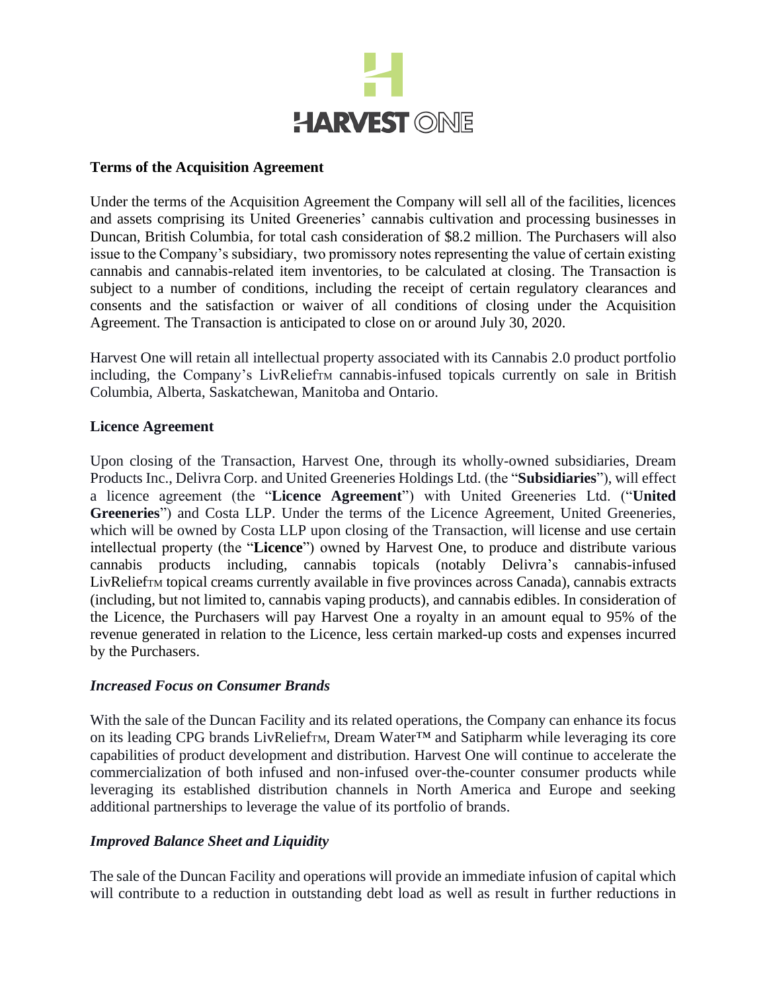

#### **Terms of the Acquisition Agreement**

Under the terms of the Acquisition Agreement the Company will sell all of the facilities, licences and assets comprising its United Greeneries' cannabis cultivation and processing businesses in Duncan, British Columbia, for total cash consideration of \$8.2 million. The Purchasers will also issue to the Company's subsidiary, two promissory notes representing the value of certain existing cannabis and cannabis-related item inventories, to be calculated at closing. The Transaction is subject to a number of conditions, including the receipt of certain regulatory clearances and consents and the satisfaction or waiver of all conditions of closing under the Acquisition Agreement. The Transaction is anticipated to close on or around July 30, 2020.

Harvest One will retain all intellectual property associated with its Cannabis 2.0 product portfolio including, the Company's LivRelieft cannabis-infused topicals currently on sale in British Columbia, Alberta, Saskatchewan, Manitoba and Ontario.

### **Licence Agreement**

Upon closing of the Transaction, Harvest One, through its wholly-owned subsidiaries, Dream Products Inc., Delivra Corp. and United Greeneries Holdings Ltd. (the "**Subsidiaries**"), will effect a licence agreement (the "**Licence Agreement**") with United Greeneries Ltd. ("**United Greeneries**") and Costa LLP. Under the terms of the Licence Agreement, United Greeneries, which will be owned by Costa LLP upon closing of the Transaction, will license and use certain intellectual property (the "**Licence**") owned by Harvest One, to produce and distribute various cannabis products including, cannabis topicals (notably Delivra's cannabis-infused LivReliefTM topical creams currently available in five provinces across Canada), cannabis extracts (including, but not limited to, cannabis vaping products), and cannabis edibles. In consideration of the Licence, the Purchasers will pay Harvest One a royalty in an amount equal to 95% of the revenue generated in relation to the Licence, less certain marked-up costs and expenses incurred by the Purchasers.

### *Increased Focus on Consumer Brands*

With the sale of the Duncan Facility and its related operations, the Company can enhance its focus on its leading CPG brands LivReliefTM, Dream Water™ and Satipharm while leveraging its core capabilities of product development and distribution. Harvest One will continue to accelerate the commercialization of both infused and non-infused over-the-counter consumer products while leveraging its established distribution channels in North America and Europe and seeking additional partnerships to leverage the value of its portfolio of brands.

## *Improved Balance Sheet and Liquidity*

The sale of the Duncan Facility and operations will provide an immediate infusion of capital which will contribute to a reduction in outstanding debt load as well as result in further reductions in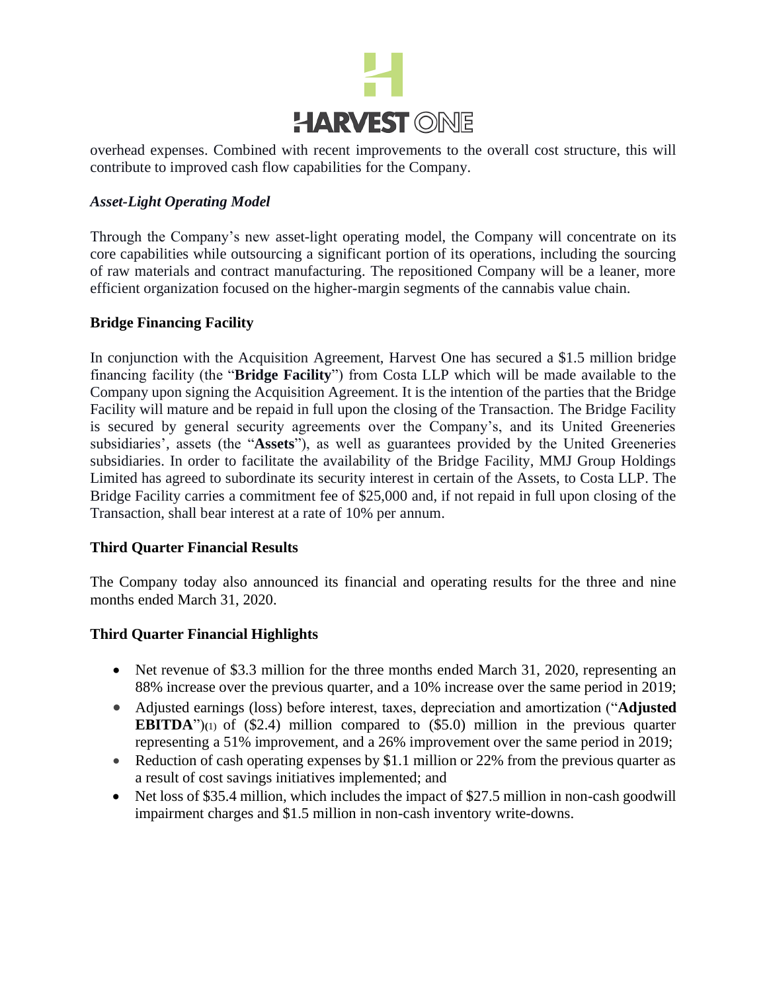

overhead expenses. Combined with recent improvements to the overall cost structure, this will contribute to improved cash flow capabilities for the Company.

### *Asset-Light Operating Model*

Through the Company's new asset-light operating model, the Company will concentrate on its core capabilities while outsourcing a significant portion of its operations, including the sourcing of raw materials and contract manufacturing. The repositioned Company will be a leaner, more efficient organization focused on the higher-margin segments of the cannabis value chain.

### **Bridge Financing Facility**

In conjunction with the Acquisition Agreement, Harvest One has secured a \$1.5 million bridge financing facility (the "**Bridge Facility**") from Costa LLP which will be made available to the Company upon signing the Acquisition Agreement. It is the intention of the parties that the Bridge Facility will mature and be repaid in full upon the closing of the Transaction. The Bridge Facility is secured by general security agreements over the Company's, and its United Greeneries subsidiaries', assets (the "**Assets**"), as well as guarantees provided by the United Greeneries subsidiaries. In order to facilitate the availability of the Bridge Facility, MMJ Group Holdings Limited has agreed to subordinate its security interest in certain of the Assets, to Costa LLP. The Bridge Facility carries a commitment fee of \$25,000 and, if not repaid in full upon closing of the Transaction, shall bear interest at a rate of 10% per annum.

### **Third Quarter Financial Results**

The Company today also announced its financial and operating results for the three and nine months ended March 31, 2020.

### **Third Quarter Financial Highlights**

- Net revenue of \$3.3 million for the three months ended March 31, 2020, representing an 88% increase over the previous quarter, and a 10% increase over the same period in 2019;
- Adjusted earnings (loss) before interest, taxes, depreciation and amortization ("**Adjusted EBITDA**")**(**1) of (\$2.4) million compared to (\$5.0) million in the previous quarter representing a 51% improvement, and a 26% improvement over the same period in 2019;
- Reduction of cash operating expenses by \$1.1 million or 22% from the previous quarter as a result of cost savings initiatives implemented; and
- Net loss of \$35.4 million, which includes the impact of \$27.5 million in non-cash goodwill impairment charges and \$1.5 million in non-cash inventory write-downs.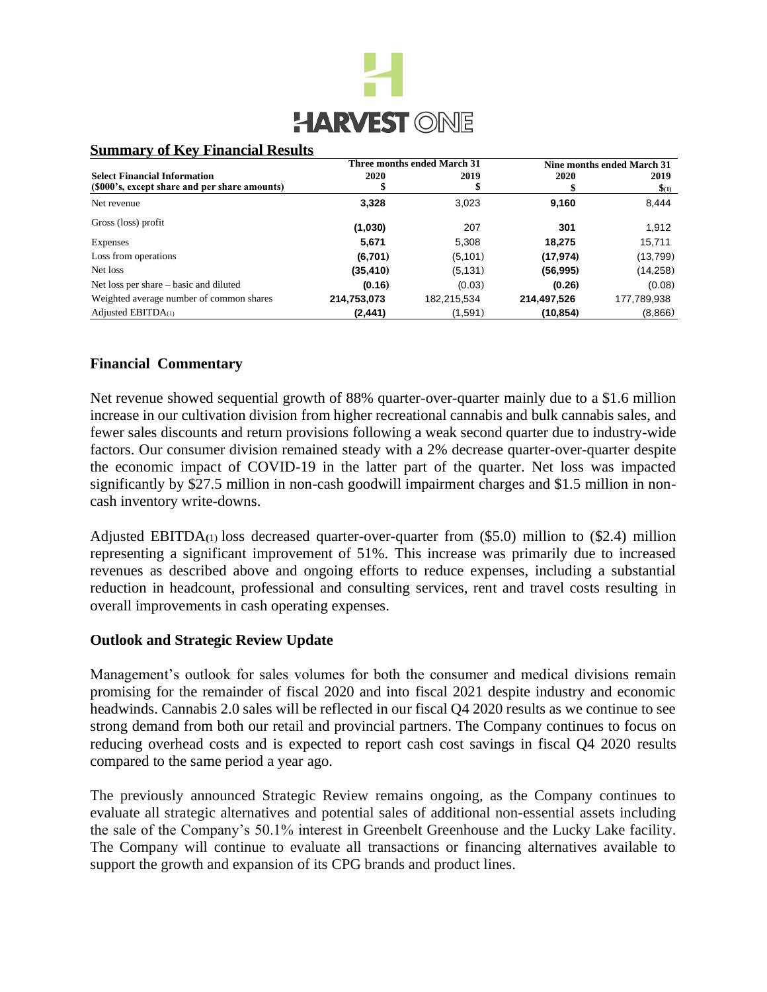

### **Summary of Key Financial Results**

|                                                                                      | Three months ended March 31 |             | Nine months ended March 31 |                          |
|--------------------------------------------------------------------------------------|-----------------------------|-------------|----------------------------|--------------------------|
| <b>Select Financial Information</b><br>(\$000's, except share and per share amounts) | 2020                        | 2019        | 2020                       | 2019<br>$\frac{1}{2}(1)$ |
| Net revenue                                                                          | 3,328                       | 3,023       | 9,160                      | 8,444                    |
| Gross (loss) profit                                                                  | (1,030)                     | 207         | 301                        | 1,912                    |
| Expenses                                                                             | 5,671                       | 5,308       | 18,275                     | 15,711                   |
| Loss from operations                                                                 | (6,701)                     | (5,101)     | (17, 974)                  | (13,799)                 |
| Net loss                                                                             | (35, 410)                   | (5, 131)    | (56, 995)                  | (14, 258)                |
| Net loss per share – basic and diluted                                               | (0.16)                      | (0.03)      | (0.26)                     | (0.08)                   |
| Weighted average number of common shares                                             | 214,753,073                 | 182,215,534 | 214,497,526                | 177,789,938              |
| Adjusted $EBITDA(1)$                                                                 | (2,441)                     | (1,591)     | (10,854)                   | (8,866)                  |

### **Financial Commentary**

Net revenue showed sequential growth of 88% quarter-over-quarter mainly due to a \$1.6 million increase in our cultivation division from higher recreational cannabis and bulk cannabis sales, and fewer sales discounts and return provisions following a weak second quarter due to industry-wide factors. Our consumer division remained steady with a 2% decrease quarter-over-quarter despite the economic impact of COVID-19 in the latter part of the quarter. Net loss was impacted significantly by \$27.5 million in non-cash goodwill impairment charges and \$1.5 million in noncash inventory write-downs.

Adjusted EBITDA**(**1) loss decreased quarter-over-quarter from (\$5.0) million to (\$2.4) million representing a significant improvement of 51%. This increase was primarily due to increased revenues as described above and ongoing efforts to reduce expenses, including a substantial reduction in headcount, professional and consulting services, rent and travel costs resulting in overall improvements in cash operating expenses.

### **Outlook and Strategic Review Update**

Management's outlook for sales volumes for both the consumer and medical divisions remain promising for the remainder of fiscal 2020 and into fiscal 2021 despite industry and economic headwinds. Cannabis 2.0 sales will be reflected in our fiscal Q4 2020 results as we continue to see strong demand from both our retail and provincial partners. The Company continues to focus on reducing overhead costs and is expected to report cash cost savings in fiscal Q4 2020 results compared to the same period a year ago.

The previously announced Strategic Review remains ongoing, as the Company continues to evaluate all strategic alternatives and potential sales of additional non-essential assets including the sale of the Company's 50.1% interest in Greenbelt Greenhouse and the Lucky Lake facility. The Company will continue to evaluate all transactions or financing alternatives available to support the growth and expansion of its CPG brands and product lines.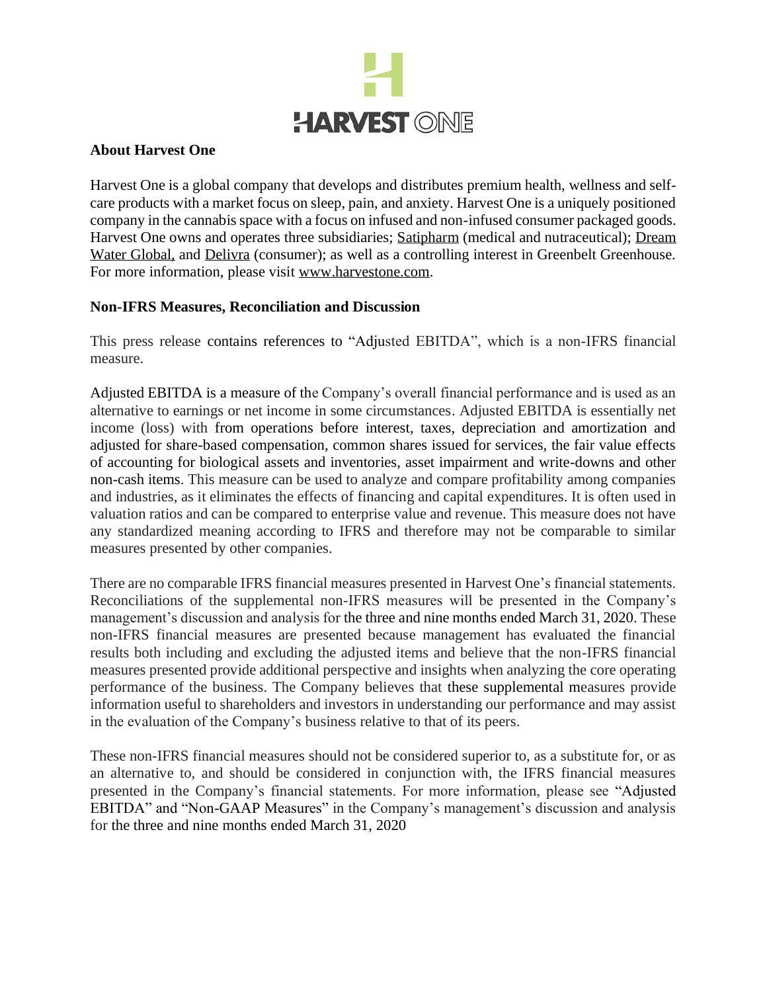

### **About Harvest One**

Harvest One is a global company that develops and distributes premium health, wellness and selfcare products with a market focus on sleep, pain, and anxiety. Harvest One is a uniquely positioned company in the cannabis space with a focus on infused and non-infused consumer packaged goods. Harvest One owns and operates three subsidiaries; Satipharm (medical and nutraceutical); Dream Water Global, and Delivra (consumer); as well as a controlling interest in Greenbelt Greenhouse. For more information, please visit www.harvestone.com.

### **Non-IFRS Measures, Reconciliation and Discussion**

This press release contains references to "Adjusted EBITDA", which is a non-IFRS financial measure.

Adjusted EBITDA is a measure of the Company's overall financial performance and is used as an alternative to earnings or net income in some circumstances. Adjusted EBITDA is essentially net income (loss) with from operations before interest, taxes, depreciation and amortization and adjusted for share-based compensation, common shares issued for services, the fair value effects of accounting for biological assets and inventories, asset impairment and write-downs and other non-cash items. This measure can be used to analyze and compare profitability among companies and industries, as it eliminates the effects of financing and capital expenditures. It is often used in valuation ratios and can be compared to enterprise value and revenue. This measure does not have any standardized meaning according to IFRS and therefore may not be comparable to similar measures presented by other companies.

There are no comparable IFRS financial measures presented in Harvest One's financial statements. Reconciliations of the supplemental non-IFRS measures will be presented in the Company's management's discussion and analysis for the three and nine months ended March 31, 2020. These non-IFRS financial measures are presented because management has evaluated the financial results both including and excluding the adjusted items and believe that the non-IFRS financial measures presented provide additional perspective and insights when analyzing the core operating performance of the business. The Company believes that these supplemental measures provide information useful to shareholders and investors in understanding our performance and may assist in the evaluation of the Company's business relative to that of its peers.

These non-IFRS financial measures should not be considered superior to, as a substitute for, or as an alternative to, and should be considered in conjunction with, the IFRS financial measures presented in the Company's financial statements. For more information, please see "Adjusted EBITDA" and "Non-GAAP Measures" in the Company's management's discussion and analysis for the three and nine months ended March 31, 2020